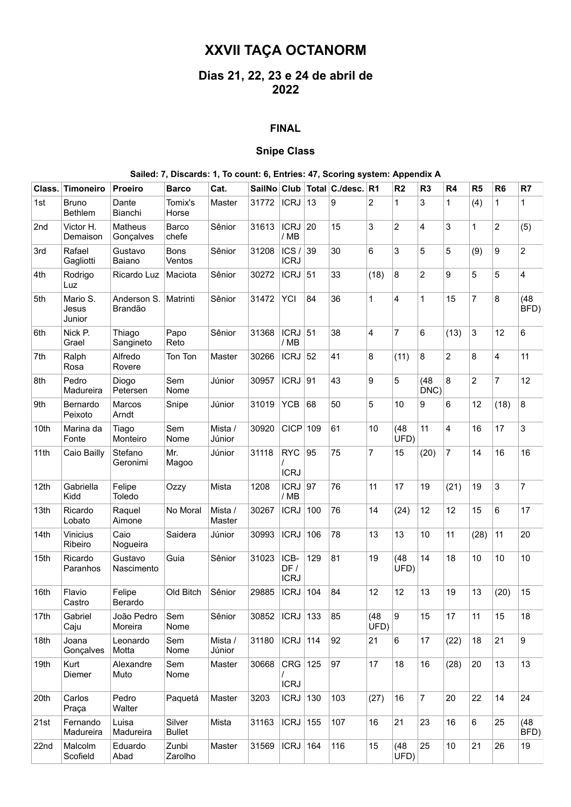# **XXVII TAÇA OCTANORM**

## **Dias 21, 22, 23 e 24 de abril de 2022**

#### **FINAL**

### **Snipe Class**

#### **Sailed: 7, Discards: 1, To count: 6, Entries: 47, Scoring system: Appendix A**

| Class. | <b>Timoneiro</b>               | <b>Proeiro</b>              | <b>Barco</b>            | Cat.              |                    |                            |     | SailNo Club   Total   C./desc.   R1 |                         | R <sub>2</sub> | R <sub>3</sub> | R <sub>4</sub> | R5             | R <sub>6</sub> | R7             |
|--------|--------------------------------|-----------------------------|-------------------------|-------------------|--------------------|----------------------------|-----|-------------------------------------|-------------------------|----------------|----------------|----------------|----------------|----------------|----------------|
| 1st    | <b>Bruno</b><br><b>Bethlem</b> | Dante<br>Bianchi            | Tomix's<br>Horse        | Master            | 31772              | <b>ICRJ</b>                | 13  | 9                                   | $\overline{c}$          | 1              | 3              | 1              | (4)            | 1              | $\mathbf{1}$   |
| 2nd    | Victor H.<br>Demaison          | <b>Matheus</b><br>Gonçalves | Barco<br>chefe          | Sênior            | 31613              | <b>ICRJ</b><br>/ MB        | 20  | 15                                  | 3                       | $\overline{2}$ | 4              | 3              | 1              | 2              | (5)            |
| 3rd    | Rafael<br>Gagliotti            | Gustavo<br>Baiano           | <b>Bons</b><br>Ventos   | Sênior            | 31208              | ICS/<br><b>ICRJ</b>        | 39  | 30                                  | 6                       | 3              | 5              | 5              | (9)            | 9              | $\overline{c}$ |
| 4th    | Rodrigo<br>Luz                 | Ricardo Luz                 | Maciota                 | Sênior            | 30272              | <b>ICRJ</b>                | 51  | 33                                  | (18)                    | 8              | $\overline{c}$ | 9              | 5              | 5              | 4              |
| 5th    | Mario S.<br>Jesus<br>Junior    | Anderson S.<br>Brandão      | Matrinti                | Sênior            | 31472              | YCI                        | 84  | 36                                  | $\mathbf{1}$            | 4              | $\mathbf{1}$   | 15             | $\overline{7}$ | 8              | (48)<br>BFD)   |
| 6th    | Nick P.<br>Grael               | Thiago<br>Sangineto         | Papo<br>Reto            | Sênior            | 31368              | <b>ICRJ</b><br>/ MB        | 51  | 38                                  | $\overline{\mathbf{4}}$ | $\overline{7}$ | 6              | (13)           | 3              | 12             | 6              |
| 7th    | Ralph<br>Rosa                  | Alfredo<br>Rovere           | Ton Ton                 | Master            | 30266              | <b>ICRJ</b>                | 52  | 41                                  | 8                       | (11)           | 8              | $\overline{2}$ | 8              | 4              | 11             |
| 8th    | Pedro<br>Madureira             | Diogo<br>Petersen           | Sem<br>Nome             | Júnior            | 30957              | <b>ICRJ</b>                | 91  | 43                                  | 9                       | 5              | (48)<br>DNC)   | 8              | $\overline{2}$ | $\overline{7}$ | 12             |
| 9th    | Bernardo<br>Peixoto            | Marcos<br>Arndt             | Snipe                   | Júnior            | 31019              | <b>YCB</b>                 | 68  | 50                                  | 5                       | 10             | 9              | 6              | 12             | (18)           | 8              |
| 10th   | Marina da<br>Fonte             | Tiago<br>Monteiro           | Sem<br>Nome             | Mista /<br>Júnior | 30920              | <b>CICP</b>                | 109 | 61                                  | 10                      | (48)<br>UFD)   | 11             | 4              | 16             | 17             | 3              |
| 11th   | Caio Bailly                    | Stefano<br>Geronimi         | Mr.<br>Magoo            | Júnior            | 31118              | <b>RYC</b><br><b>ICRJ</b>  | 95  | 75                                  | $\overline{7}$          | 15             | (20)           | 7              | 14             | 16             | 16             |
| 12th   | Gabriella<br>Kidd              | Felipe<br>Toledo            | Ozzy                    | Mista             | 1208               | <b>ICRJ</b><br>/ MB        | 97  | 76                                  | 11                      | 17             | 19             | (21)           | 19             | 3              | 7              |
| 13th   | Ricardo<br>Lobato              | Raquel<br>Aimone            | No Moral                | Mista /<br>Master | 30267              | <b>ICRJ</b>                | 100 | 76                                  | 14                      | (24)           | 12             | 12             | 15             | 6              | 17             |
| 14th   | <b>Vinicius</b><br>Ribeiro     | Caio<br>Nogueira            | Saidera                 | Júnior            | 30993              | <b>ICRJ</b>                | 106 | 78                                  | 13                      | 13             | 10             | 11             | (28)           | 11             | 20             |
| 15th   | Ricardo<br>Paranhos            | Gustavo<br>Nascimento       | Guia                    | Sênior            | 31023              | ICB-<br>DF/<br><b>ICRJ</b> | 129 | 81                                  | 19                      | (48)<br>UFD)   | 14             | 18             | 10             | 10             | 10             |
| 16th   | Flavio<br>Castro               | Felipe<br>Berardo           | Old Bitch               | Sênior            | 29885              | <b>ICRJ</b>                | 104 | 84                                  | 12                      | 12             | 13             | 19             | 13             | (20)           | 15             |
| 17th   | Gabriel<br>Caju                | João Pedro<br>Moreira       | Sem<br>Nome             | Sênior            | 30852   ICRJ   133 |                            |     | 85                                  | (48)<br>UFD)            | 9              | 15             | 17             | 11             | 15             | 18             |
| 18th   | Joana<br>Gonçalves             | Leonardo<br>Motta           | Sem<br>Nome             | Mista /<br>Júnior | 31180              | $ICRJ$ 114                 |     | 92                                  | 21                      | 6              | 17             | (22)           | 18             | 21             | 9              |
| 19th   | Kurt<br>Diemer                 | Alexandre<br>Muto           | Sem<br>Nome             | Master            | 30668              | $CRG$ 125<br><b>ICRJ</b>   |     | 97                                  | 17                      | 18             | 16             | (28)           | 20             | 13             | 13             |
| 20th   | Carlos<br>Praça                | Pedro<br>Walter             | Paquetá                 | Master            | 3203               | $ICRJ$ 130                 |     | 103                                 | (27)                    | 16             | $\overline{7}$ | 20             | 22             | 14             | 24             |
| 21st   | Fernando<br>Madureira          | Luisa<br>Madureira          | Silver<br><b>Bullet</b> | Mista             | 31163              | $ICRJ$ 155                 |     | 107                                 | 16                      | 21             | 23             | 16             | 6              | 25             | (48)<br>BFD)   |
| 22nd   | Malcolm<br>Scofield            | Eduardo<br>Abad             | Zunbi<br>Zarolho        | Master            | 31569              | $ICRJ$ 164                 |     | 116                                 | 15                      | (48)<br>UFD)   | 25             | 10             | 21             | 26             | 19             |